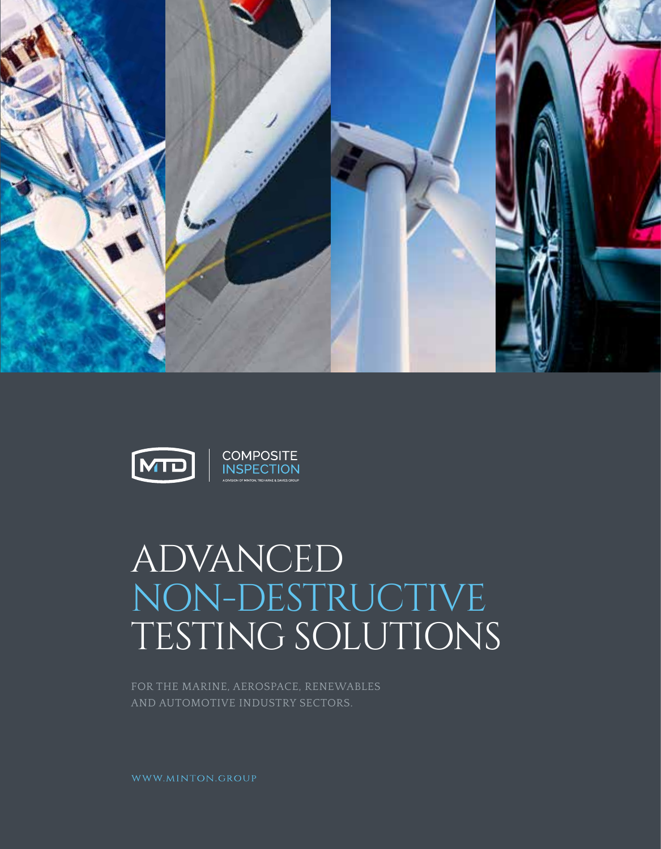



### ADVANCED NON-DESTRUCTIVE TESTING SOLUTIONS

FOR THE MARINE, AEROSPACE, RENEWABLES AND AUTOMOTIVE INDUSTRY SECTORS.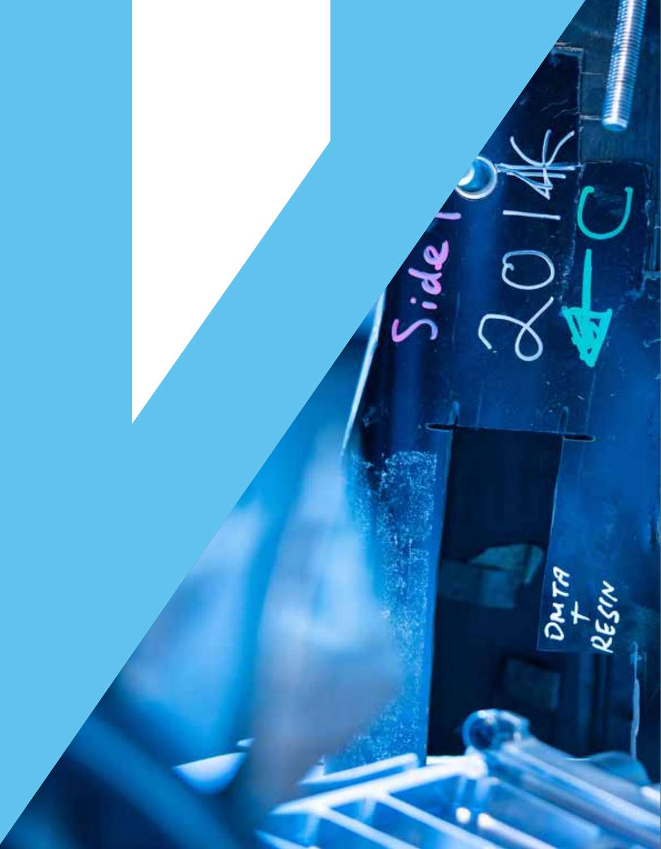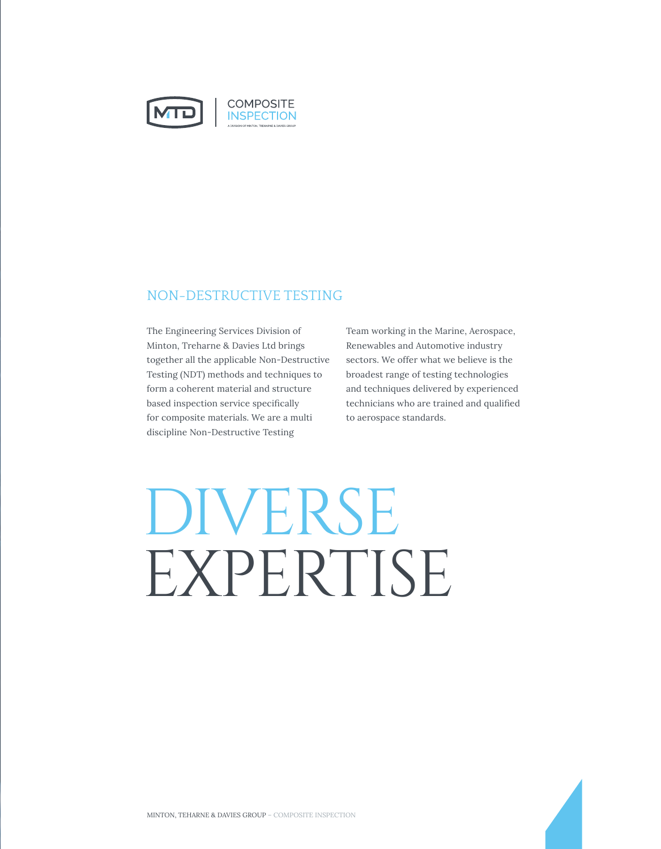

#### NON-DESTRUCTIVE TESTING

The Engineering Services Division of Minton, Treharne & Davies Ltd brings together all the applicable Non-Destructive Testing (NDT) methods and techniques to form a coherent material and structure based inspection service specifically for composite materials. We are a multi discipline Non-Destructive Testing

Team working in the Marine, Aerospace, Renewables and Automotive industry sectors. We offer what we believe is the broadest range of testing technologies and techniques delivered by experienced technicians who are trained and qualified to aerospace standards.

## DIVERSE EXPERTISE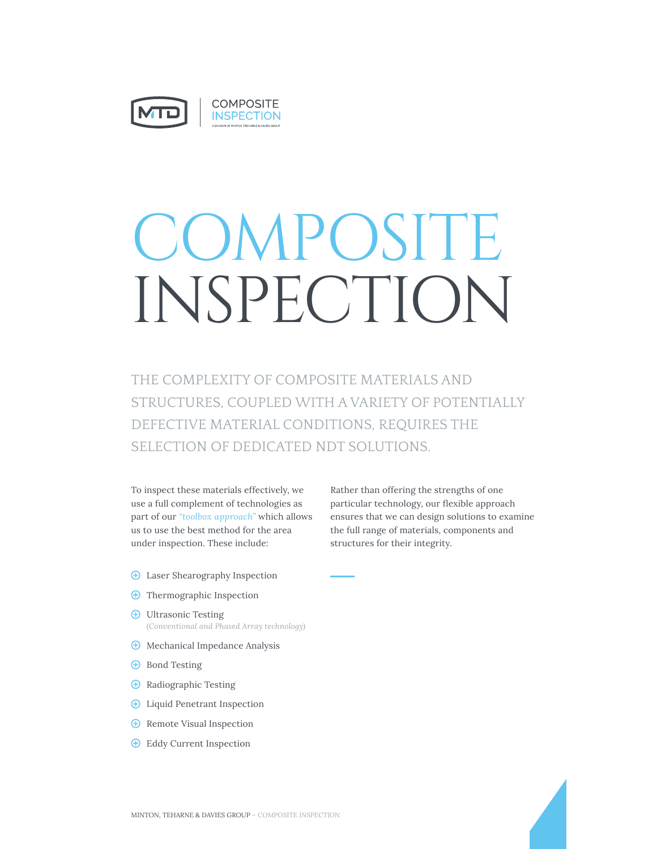

# **COMPOSITE** INSPECTION

THE COMPLEXITY OF COMPOSITE MATERIALS AND STRUCTURES, COUPLED WITH A VARIETY OF POTENTIALLY DEFECTIVE MATERIAL CONDITIONS, REQUIRES THE SELECTION OF DEDICATED NDT SOLUTIONS.

To inspect these materials effectively, we use a full complement of technologies as part of our *"toolbox approach"* which allows us to use the best method for the area under inspection. These include:

- Laser Shearography Inspection
- $\oplus$  Thermographic Inspection
- $\oplus$  Ultrasonic Testing *(Conventional and Phased Array technology)*
- Mechanical Impedance Analysis
- $\bigoplus$  Bond Testing
- Radiographic Testing
- Liquid Penetrant Inspection
- $\bigoplus$  Remote Visual Inspection
- Eddy Current Inspection

Rather than offering the strengths of one particular technology, our flexible approach ensures that we can design solutions to examine the full range of materials, components and structures for their integrity.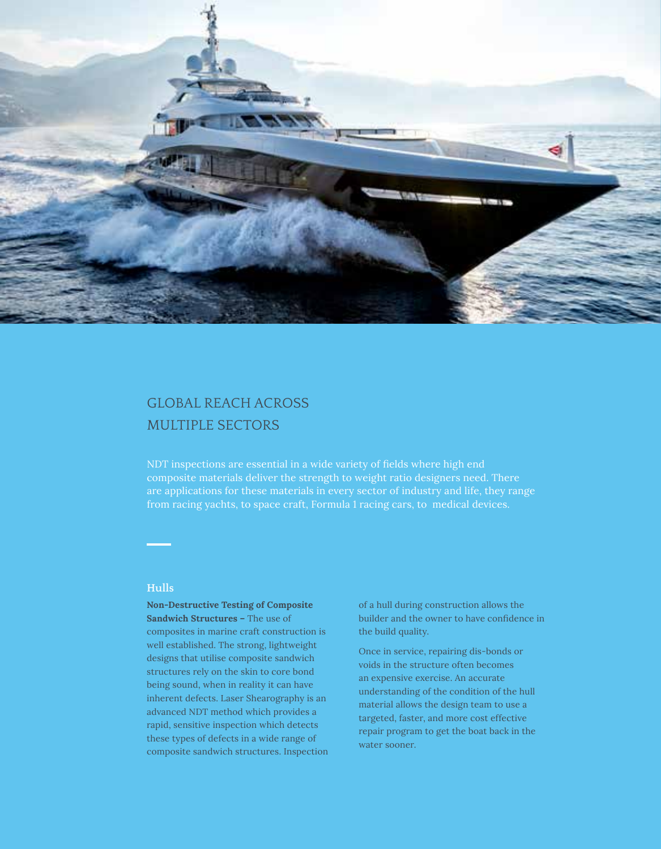

### GLOBAL REACH ACROSS MULTIPLE SECTORS

NDT inspections are essential in a wide variety of fields where high end composite materials deliver the strength to weight ratio designers need. There are applications for these materials in every sector of industry and life, they range from racing yachts, to space craft, Formula 1 racing cars, to medical devices.

#### **Hulls**

**Non-Destructive Testing of Composite Sandwich Structures –** The use of composites in marine craft construction is well established. The strong, lightweight designs that utilise composite sandwich structures rely on the skin to core bond being sound, when in reality it can have inherent defects. Laser Shearography is an advanced NDT method which provides a rapid, sensitive inspection which detects these types of defects in a wide range of composite sandwich structures. Inspection

of a hull during construction allows the builder and the owner to have confidence in the build quality.

Once in service, repairing dis-bonds or voids in the structure often becomes an expensive exercise. An accurate understanding of the condition of the hull material allows the design team to use a targeted, faster, and more cost effective repair program to get the boat back in the water sooner.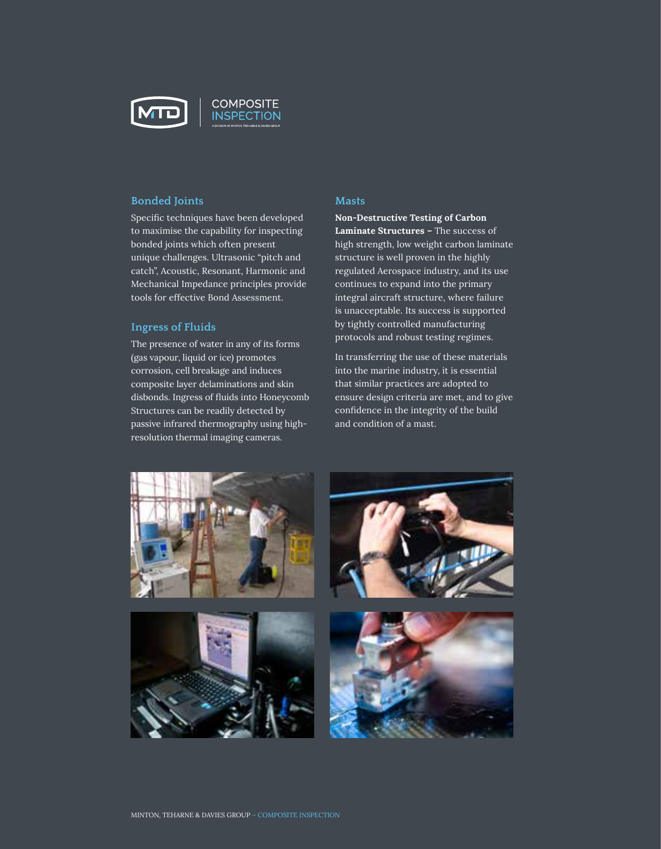

**COMPOSITE INSPECTION** 

#### **Bonded Joints**

Specific techniques have been developed to maximise the capability for inspecting bonded joints which often present unique challenges. Ultrasonic "pitch and catch", Acoustic, Resonant, Harmonic and Mechanical Impedance principles provide tools for effective Bond Assessment.

#### **Ingress of Fluids**

The presence of water in any of its forms (gas vapour, liquid or ice) promotes corrosion, cell breakage and induces composite layer delaminations and skin disbonds. Ingress of fluids into Honeycomb Structures can be readily detected by passive infrared thermography using highresolution thermal imaging cameras.

#### **Masts**

**Non-Destructive Testing of Carbon Laminate Structures –** The success of high strength, low weight carbon laminate structure is well proven in the highly regulated Aerospace industry, and its use continues to expand into the primary integral aircraft structure, where failure is unacceptable. Its success is supported by tightly controlled manufacturing protocols and robust testing regimes.

In transferring the use of these materials into the marine industry, it is essential that similar practices are adopted to ensure design criteria are met, and to give confidence in the integrity of the build and condition of a mast.

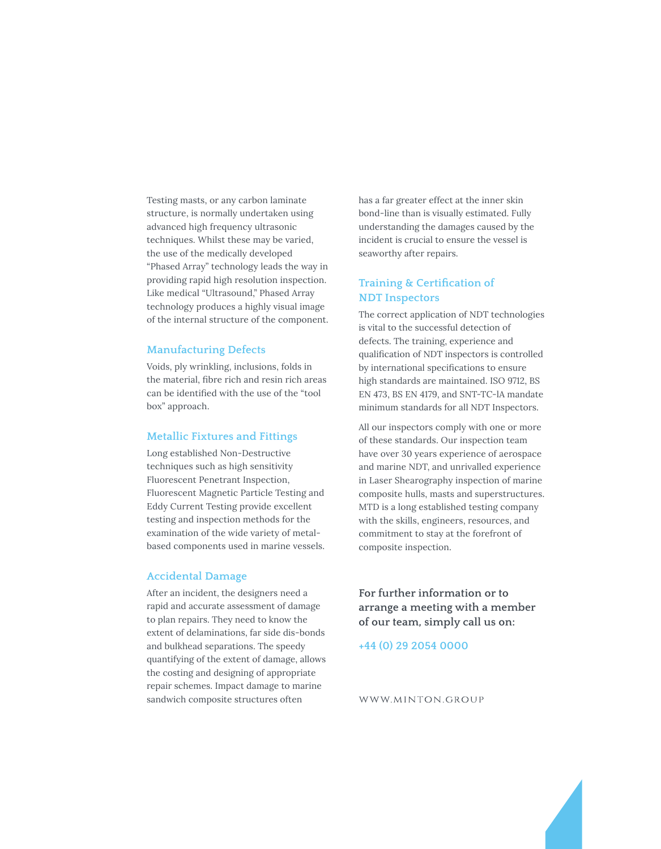Testing masts, or any carbon laminate structure, is normally undertaken using advanced high frequency ultrasonic techniques. Whilst these may be varied, the use of the medically developed "Phased Array" technology leads the way in providing rapid high resolution inspection. Like medical "Ultrasound," Phased Array technology produces a highly visual image of the internal structure of the component.

#### **Manufacturing Defects**

Voids, ply wrinkling, inclusions, folds in the material, fibre rich and resin rich areas can be identified with the use of the "tool box" approach.

#### **Metallic Fixtures and Fittings**

Long established Non-Destructive techniques such as high sensitivity Fluorescent Penetrant Inspection, Fluorescent Magnetic Particle Testing and Eddy Current Testing provide excellent testing and inspection methods for the examination of the wide variety of metalbased components used in marine vessels.

#### **Accidental Damage**

After an incident, the designers need a rapid and accurate assessment of damage to plan repairs. They need to know the extent of delaminations, far side dis-bonds and bulkhead separations. The speedy quantifying of the extent of damage, allows the costing and designing of appropriate repair schemes. Impact damage to marine sandwich composite structures often

has a far greater effect at the inner skin bond-line than is visually estimated. Fully understanding the damages caused by the incident is crucial to ensure the vessel is seaworthy after repairs.

#### **Training & Certification of NDT Inspectors**

The correct application of NDT technologies is vital to the successful detection of defects. The training, experience and qualification of NDT inspectors is controlled by international specifications to ensure high standards are maintained. ISO 9712, BS EN 473, BS EN 4179, and SNT-TC-lA mandate minimum standards for all NDT Inspectors.

All our inspectors comply with one or more of these standards. Our inspection team have over 30 years experience of aerospace and marine NDT, and unrivalled experience in Laser Shearography inspection of marine composite hulls, masts and superstructures. MTD is a long established testing company with the skills, engineers, resources, and commitment to stay at the forefront of composite inspection.

**For further information or to arrange a meeting with a member of our team, simply call us on:**

**+44 (0) 29 2054 0000**

WWW.MINTON.GROUP